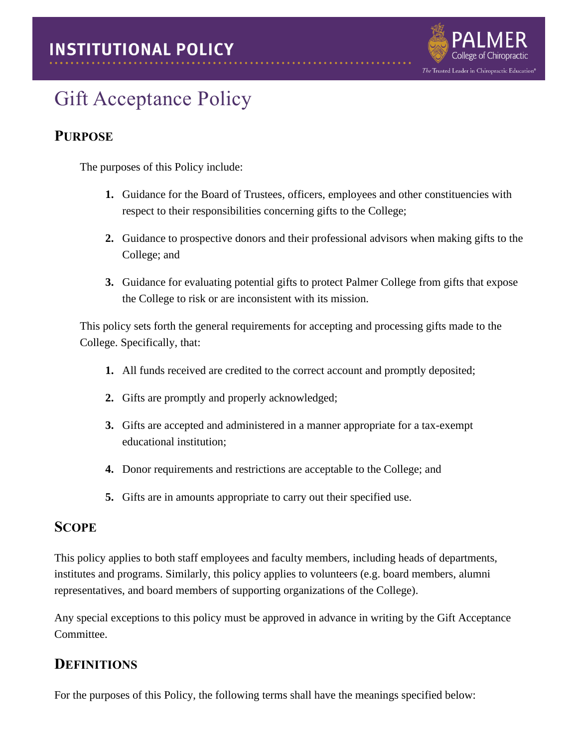

# Gift Acceptance Policy

# **PURPOSE**

The purposes of this Policy include:

- **1.** Guidance for the Board of Trustees, officers, employees and other constituencies with respect to their responsibilities concerning gifts to the College;
- **2.** Guidance to prospective donors and their professional advisors when making gifts to the College; and
- **3.** Guidance for evaluating potential gifts to protect Palmer College from gifts that expose the College to risk or are inconsistent with its mission.

This policy sets forth the general requirements for accepting and processing gifts made to the College. Specifically, that:

- **1.** All funds received are credited to the correct account and promptly deposited;
- **2.** Gifts are promptly and properly acknowledged;
- **3.** Gifts are accepted and administered in a manner appropriate for a tax-exempt educational institution;
- **4.** Donor requirements and restrictions are acceptable to the College; and
- **5.** Gifts are in amounts appropriate to carry out their specified use.

## **SCOPE**

This policy applies to both staff employees and faculty members, including heads of departments, institutes and programs. Similarly, this policy applies to volunteers (e.g. board members, alumni representatives, and board members of supporting organizations of the College).

Any special exceptions to this policy must be approved in advance in writing by the Gift Acceptance Committee.

## **DEFINITIONS**

For the purposes of this Policy, the following terms shall have the meanings specified below: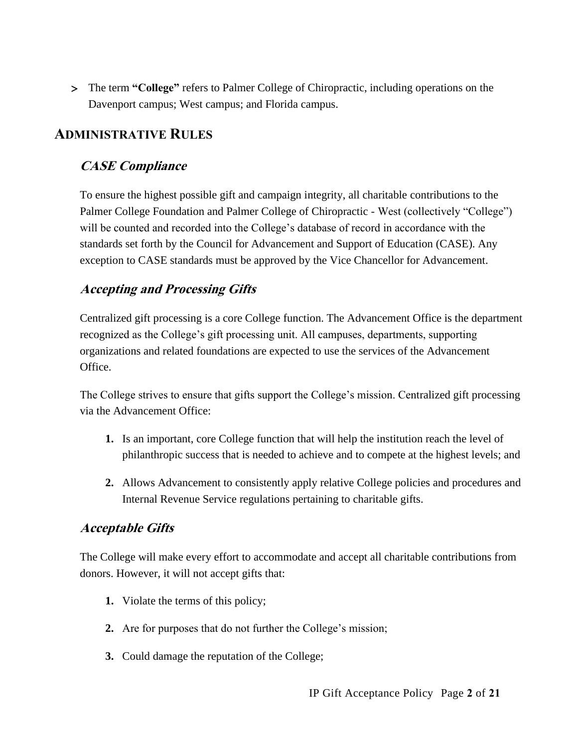The term **"College"** refers to Palmer College of Chiropractic, including operations on the Davenport campus; West campus; and Florida campus.

# **ADMINISTRATIVE RULES**

### **CASE Compliance**

To ensure the highest possible gift and campaign integrity, all charitable contributions to the Palmer College Foundation and Palmer College of Chiropractic - West (collectively "College") will be counted and recorded into the College's database of record in accordance with the standards set forth by the Council for Advancement and Support of Education (CASE). Any exception to CASE standards must be approved by the Vice Chancellor for Advancement.

## **Accepting and Processing Gifts**

Centralized gift processing is a core College function. The Advancement Office is the department recognized as the College's gift processing unit. All campuses, departments, supporting organizations and related foundations are expected to use the services of the Advancement Office.

The College strives to ensure that gifts support the College's mission. Centralized gift processing via the Advancement Office:

- **1.** Is an important, core College function that will help the institution reach the level of philanthropic success that is needed to achieve and to compete at the highest levels; and
- **2.** Allows Advancement to consistently apply relative College policies and procedures and Internal Revenue Service regulations pertaining to charitable gifts.

## **Acceptable Gifts**

The College will make every effort to accommodate and accept all charitable contributions from donors. However, it will not accept gifts that:

- **1.** Violate the terms of this policy;
- **2.** Are for purposes that do not further the College's mission;
- **3.** Could damage the reputation of the College;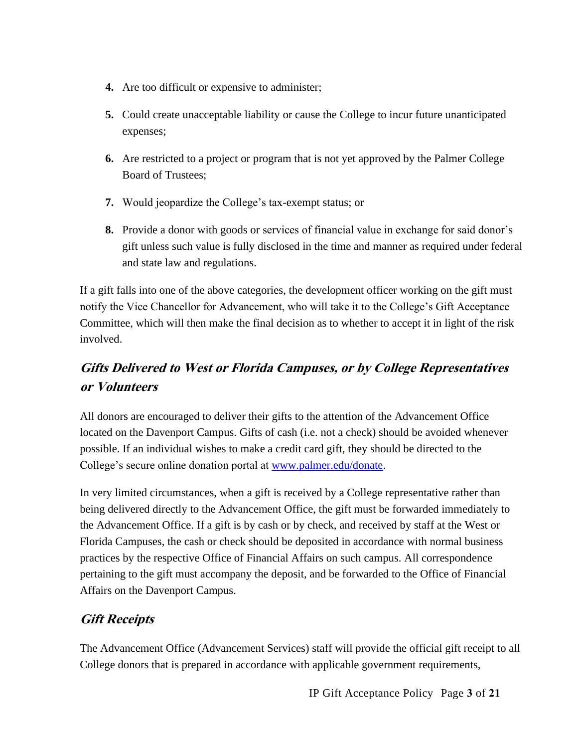- **4.** Are too difficult or expensive to administer;
- **5.** Could create unacceptable liability or cause the College to incur future unanticipated expenses;
- **6.** Are restricted to a project or program that is not yet approved by the Palmer College Board of Trustees;
- **7.** Would jeopardize the College's tax-exempt status; or
- **8.** Provide a donor with goods or services of financial value in exchange for said donor's gift unless such value is fully disclosed in the time and manner as required under federal and state law and regulations.

If a gift falls into one of the above categories, the development officer working on the gift must notify the Vice Chancellor for Advancement, who will take it to the College's Gift Acceptance Committee, which will then make the final decision as to whether to accept it in light of the risk involved.

# **Gifts Delivered to West or Florida Campuses, or by College Representatives or Volunteers**

All donors are encouraged to deliver their gifts to the attention of the Advancement Office located on the Davenport Campus. Gifts of cash (i.e. not a check) should be avoided whenever possible. If an individual wishes to make a credit card gift, they should be directed to the College's secure online donation portal at [www.palmer.edu/donate.](http://www.palmer.edu/donate)

In very limited circumstances, when a gift is received by a College representative rather than being delivered directly to the Advancement Office, the gift must be forwarded immediately to the Advancement Office. If a gift is by cash or by check, and received by staff at the West or Florida Campuses, the cash or check should be deposited in accordance with normal business practices by the respective Office of Financial Affairs on such campus. All correspondence pertaining to the gift must accompany the deposit, and be forwarded to the Office of Financial Affairs on the Davenport Campus.

# **Gift Receipts**

The Advancement Office (Advancement Services) staff will provide the official gift receipt to all College donors that is prepared in accordance with applicable government requirements,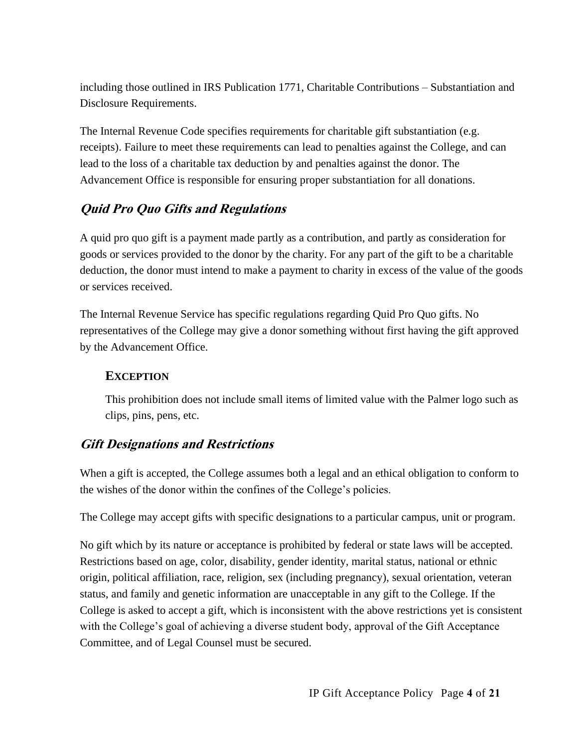including those outlined in IRS Publication 1771, Charitable Contributions – Substantiation and Disclosure Requirements.

The Internal Revenue Code specifies requirements for charitable gift substantiation (e.g. receipts). Failure to meet these requirements can lead to penalties against the College, and can lead to the loss of a charitable tax deduction by and penalties against the donor. The Advancement Office is responsible for ensuring proper substantiation for all donations.

## **Quid Pro Quo Gifts and Regulations**

A quid pro quo gift is a payment made partly as a contribution, and partly as consideration for goods or services provided to the donor by the charity. For any part of the gift to be a charitable deduction, the donor must intend to make a payment to charity in excess of the value of the goods or services received.

The Internal Revenue Service has specific regulations regarding Quid Pro Quo gifts. No representatives of the College may give a donor something without first having the gift approved by the Advancement Office.

#### **EXCEPTION**

This prohibition does not include small items of limited value with the Palmer logo such as clips, pins, pens, etc.

## **Gift Designations and Restrictions**

When a gift is accepted, the College assumes both a legal and an ethical obligation to conform to the wishes of the donor within the confines of the College's policies.

The College may accept gifts with specific designations to a particular campus, unit or program.

No gift which by its nature or acceptance is prohibited by federal or state laws will be accepted. Restrictions based on age, color, disability, gender identity, marital status, national or ethnic origin, political affiliation, race, religion, sex (including pregnancy), sexual orientation, veteran status, and family and genetic information are unacceptable in any gift to the College. If the College is asked to accept a gift, which is inconsistent with the above restrictions yet is consistent with the College's goal of achieving a diverse student body, approval of the Gift Acceptance Committee, and of Legal Counsel must be secured.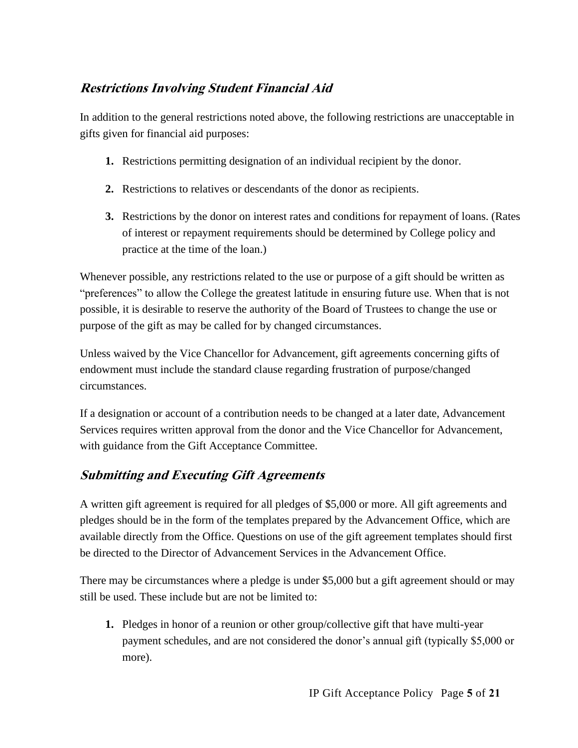# **Restrictions Involving Student Financial Aid**

In addition to the general restrictions noted above, the following restrictions are unacceptable in gifts given for financial aid purposes:

- **1.** Restrictions permitting designation of an individual recipient by the donor.
- **2.** Restrictions to relatives or descendants of the donor as recipients.
- **3.** Restrictions by the donor on interest rates and conditions for repayment of loans. (Rates of interest or repayment requirements should be determined by College policy and practice at the time of the loan.)

Whenever possible, any restrictions related to the use or purpose of a gift should be written as "preferences" to allow the College the greatest latitude in ensuring future use. When that is not possible, it is desirable to reserve the authority of the Board of Trustees to change the use or purpose of the gift as may be called for by changed circumstances.

Unless waived by the Vice Chancellor for Advancement, gift agreements concerning gifts of endowment must include the standard clause regarding frustration of purpose/changed circumstances.

If a designation or account of a contribution needs to be changed at a later date, Advancement Services requires written approval from the donor and the Vice Chancellor for Advancement, with guidance from the Gift Acceptance Committee.

# **Submitting and Executing Gift Agreements**

A written gift agreement is required for all pledges of \$5,000 or more. All gift agreements and pledges should be in the form of the templates prepared by the Advancement Office, which are available directly from the Office. Questions on use of the gift agreement templates should first be directed to the Director of Advancement Services in the Advancement Office.

There may be circumstances where a pledge is under \$5,000 but a gift agreement should or may still be used. These include but are not be limited to:

**1.** Pledges in honor of a reunion or other group/collective gift that have multi-year payment schedules, and are not considered the donor's annual gift (typically \$5,000 or more).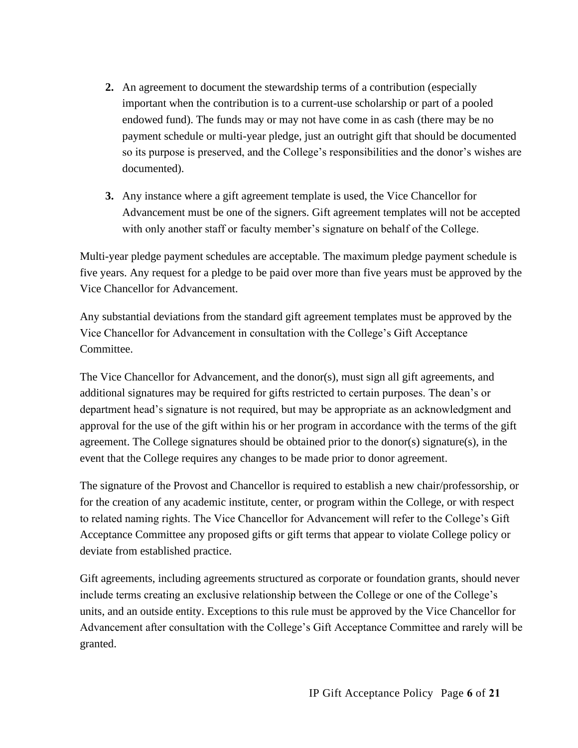- **2.** An agreement to document the stewardship terms of a contribution (especially important when the contribution is to a current-use scholarship or part of a pooled endowed fund). The funds may or may not have come in as cash (there may be no payment schedule or multi-year pledge, just an outright gift that should be documented so its purpose is preserved, and the College's responsibilities and the donor's wishes are documented).
- **3.** Any instance where a gift agreement template is used, the Vice Chancellor for Advancement must be one of the signers. Gift agreement templates will not be accepted with only another staff or faculty member's signature on behalf of the College.

Multi-year pledge payment schedules are acceptable. The maximum pledge payment schedule is five years. Any request for a pledge to be paid over more than five years must be approved by the Vice Chancellor for Advancement.

Any substantial deviations from the standard gift agreement templates must be approved by the Vice Chancellor for Advancement in consultation with the College's Gift Acceptance Committee.

The Vice Chancellor for Advancement, and the donor(s), must sign all gift agreements, and additional signatures may be required for gifts restricted to certain purposes. The dean's or department head's signature is not required, but may be appropriate as an acknowledgment and approval for the use of the gift within his or her program in accordance with the terms of the gift agreement. The College signatures should be obtained prior to the donor(s) signature(s), in the event that the College requires any changes to be made prior to donor agreement.

The signature of the Provost and Chancellor is required to establish a new chair/professorship, or for the creation of any academic institute, center, or program within the College, or with respect to related naming rights. The Vice Chancellor for Advancement will refer to the College's Gift Acceptance Committee any proposed gifts or gift terms that appear to violate College policy or deviate from established practice.

Gift agreements, including agreements structured as corporate or foundation grants, should never include terms creating an exclusive relationship between the College or one of the College's units, and an outside entity. Exceptions to this rule must be approved by the Vice Chancellor for Advancement after consultation with the College's Gift Acceptance Committee and rarely will be granted.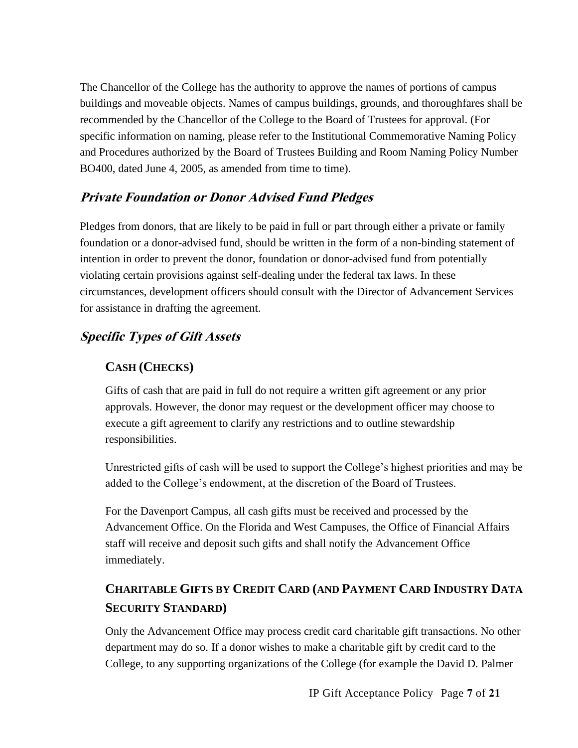The Chancellor of the College has the authority to approve the names of portions of campus buildings and moveable objects. Names of campus buildings, grounds, and thoroughfares shall be recommended by the Chancellor of the College to the Board of Trustees for approval. (For specific information on naming, please refer to the Institutional Commemorative Naming Policy and Procedures authorized by the Board of Trustees Building and Room Naming Policy Number BO400, dated June 4, 2005, as amended from time to time).

## **Private Foundation or Donor Advised Fund Pledges**

Pledges from donors, that are likely to be paid in full or part through either a private or family foundation or a donor-advised fund, should be written in the form of a non-binding statement of intention in order to prevent the donor, foundation or donor-advised fund from potentially violating certain provisions against self-dealing under the federal tax laws. In these circumstances, development officers should consult with the Director of Advancement Services for assistance in drafting the agreement.

# **Specific Types of Gift Assets**

# **CASH (CHECKS)**

Gifts of cash that are paid in full do not require a written gift agreement or any prior approvals. However, the donor may request or the development officer may choose to execute a gift agreement to clarify any restrictions and to outline stewardship responsibilities.

Unrestricted gifts of cash will be used to support the College's highest priorities and may be added to the College's endowment, at the discretion of the Board of Trustees.

For the Davenport Campus, all cash gifts must be received and processed by the Advancement Office. On the Florida and West Campuses, the Office of Financial Affairs staff will receive and deposit such gifts and shall notify the Advancement Office immediately.

# **CHARITABLE GIFTS BY CREDIT CARD (AND PAYMENT CARD INDUSTRY DATA SECURITY STANDARD)**

Only the Advancement Office may process credit card charitable gift transactions. No other department may do so. If a donor wishes to make a charitable gift by credit card to the College, to any supporting organizations of the College (for example the David D. Palmer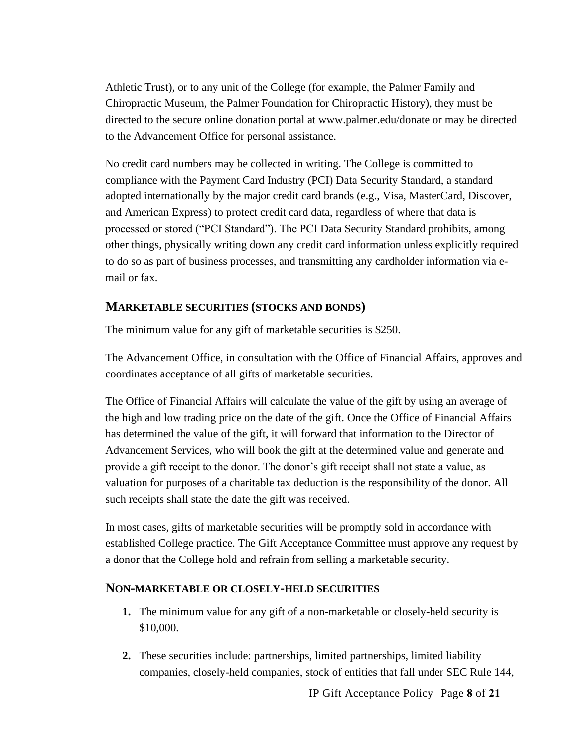Athletic Trust), or to any unit of the College (for example, the Palmer Family and Chiropractic Museum, the Palmer Foundation for Chiropractic History), they must be directed to the secure online donation portal at www.palmer.edu/donate or may be directed to the Advancement Office for personal assistance.

No credit card numbers may be collected in writing. The College is committed to compliance with the Payment Card Industry (PCI) Data Security Standard, a standard adopted internationally by the major credit card brands (e.g., Visa, MasterCard, Discover, and American Express) to protect credit card data, regardless of where that data is processed or stored ("PCI Standard"). The PCI Data Security Standard prohibits, among other things, physically writing down any credit card information unless explicitly required to do so as part of business processes, and transmitting any cardholder information via email or fax.

#### **MARKETABLE SECURITIES (STOCKS AND BONDS)**

The minimum value for any gift of marketable securities is \$250.

The Advancement Office, in consultation with the Office of Financial Affairs, approves and coordinates acceptance of all gifts of marketable securities.

The Office of Financial Affairs will calculate the value of the gift by using an average of the high and low trading price on the date of the gift. Once the Office of Financial Affairs has determined the value of the gift, it will forward that information to the Director of Advancement Services, who will book the gift at the determined value and generate and provide a gift receipt to the donor. The donor's gift receipt shall not state a value, as valuation for purposes of a charitable tax deduction is the responsibility of the donor. All such receipts shall state the date the gift was received.

In most cases, gifts of marketable securities will be promptly sold in accordance with established College practice. The Gift Acceptance Committee must approve any request by a donor that the College hold and refrain from selling a marketable security.

#### **NON-MARKETABLE OR CLOSELY-HELD SECURITIES**

- **1.** The minimum value for any gift of a non-marketable or closely-held security is \$10,000.
- **2.** These securities include: partnerships, limited partnerships, limited liability companies, closely-held companies, stock of entities that fall under SEC Rule 144,

IP Gift Acceptance Policy Page **8** of **21**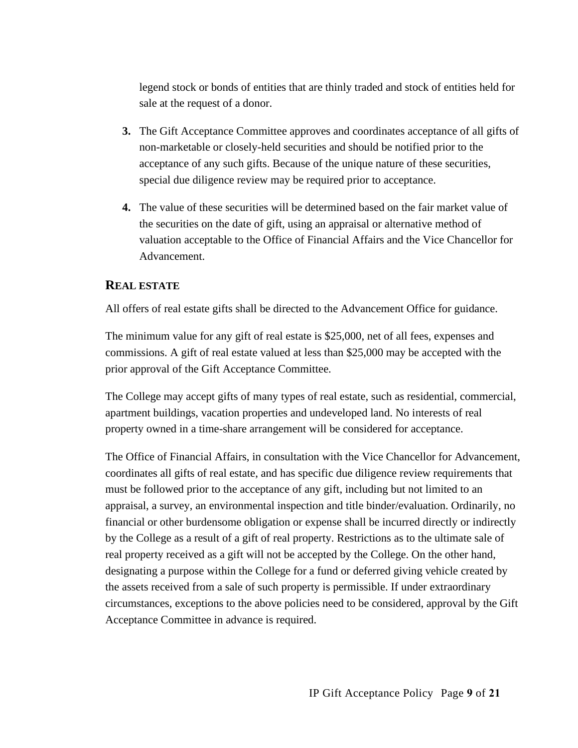legend stock or bonds of entities that are thinly traded and stock of entities held for sale at the request of a donor.

- **3.** The Gift Acceptance Committee approves and coordinates acceptance of all gifts of non-marketable or closely-held securities and should be notified prior to the acceptance of any such gifts. Because of the unique nature of these securities, special due diligence review may be required prior to acceptance.
- **4.** The value of these securities will be determined based on the fair market value of the securities on the date of gift, using an appraisal or alternative method of valuation acceptable to the Office of Financial Affairs and the Vice Chancellor for Advancement.

#### **REAL ESTATE**

All offers of real estate gifts shall be directed to the Advancement Office for guidance.

The minimum value for any gift of real estate is \$25,000, net of all fees, expenses and commissions. A gift of real estate valued at less than \$25,000 may be accepted with the prior approval of the Gift Acceptance Committee.

The College may accept gifts of many types of real estate, such as residential, commercial, apartment buildings, vacation properties and undeveloped land. No interests of real property owned in a time-share arrangement will be considered for acceptance.

The Office of Financial Affairs, in consultation with the Vice Chancellor for Advancement, coordinates all gifts of real estate, and has specific due diligence review requirements that must be followed prior to the acceptance of any gift, including but not limited to an appraisal, a survey, an environmental inspection and title binder/evaluation. Ordinarily, no financial or other burdensome obligation or expense shall be incurred directly or indirectly by the College as a result of a gift of real property. Restrictions as to the ultimate sale of real property received as a gift will not be accepted by the College. On the other hand, designating a purpose within the College for a fund or deferred giving vehicle created by the assets received from a sale of such property is permissible. If under extraordinary circumstances, exceptions to the above policies need to be considered, approval by the Gift Acceptance Committee in advance is required.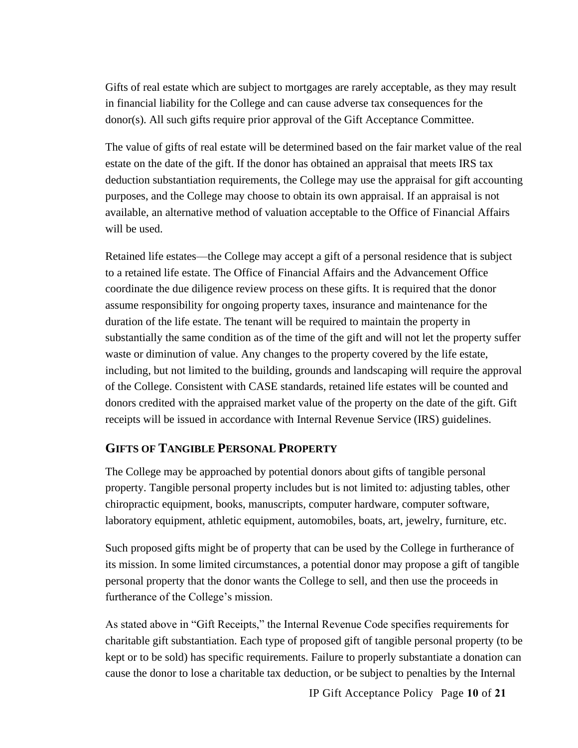Gifts of real estate which are subject to mortgages are rarely acceptable, as they may result in financial liability for the College and can cause adverse tax consequences for the donor(s). All such gifts require prior approval of the Gift Acceptance Committee.

The value of gifts of real estate will be determined based on the fair market value of the real estate on the date of the gift. If the donor has obtained an appraisal that meets IRS tax deduction substantiation requirements, the College may use the appraisal for gift accounting purposes, and the College may choose to obtain its own appraisal. If an appraisal is not available, an alternative method of valuation acceptable to the Office of Financial Affairs will be used.

Retained life estates—the College may accept a gift of a personal residence that is subject to a retained life estate. The Office of Financial Affairs and the Advancement Office coordinate the due diligence review process on these gifts. It is required that the donor assume responsibility for ongoing property taxes, insurance and maintenance for the duration of the life estate. The tenant will be required to maintain the property in substantially the same condition as of the time of the gift and will not let the property suffer waste or diminution of value. Any changes to the property covered by the life estate, including, but not limited to the building, grounds and landscaping will require the approval of the College. Consistent with CASE standards, retained life estates will be counted and donors credited with the appraised market value of the property on the date of the gift. Gift receipts will be issued in accordance with Internal Revenue Service (IRS) guidelines.

#### **GIFTS OF TANGIBLE PERSONAL PROPERTY**

The College may be approached by potential donors about gifts of tangible personal property. Tangible personal property includes but is not limited to: adjusting tables, other chiropractic equipment, books, manuscripts, computer hardware, computer software, laboratory equipment, athletic equipment, automobiles, boats, art, jewelry, furniture, etc.

Such proposed gifts might be of property that can be used by the College in furtherance of its mission. In some limited circumstances, a potential donor may propose a gift of tangible personal property that the donor wants the College to sell, and then use the proceeds in furtherance of the College's mission.

As stated above in "Gift Receipts," the Internal Revenue Code specifies requirements for charitable gift substantiation. Each type of proposed gift of tangible personal property (to be kept or to be sold) has specific requirements. Failure to properly substantiate a donation can cause the donor to lose a charitable tax deduction, or be subject to penalties by the Internal

IP Gift Acceptance Policy Page **10** of **21**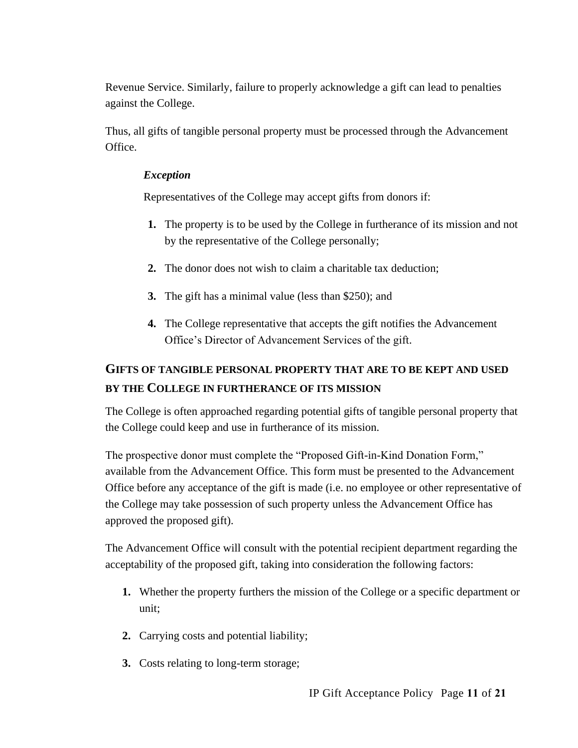Revenue Service. Similarly, failure to properly acknowledge a gift can lead to penalties against the College.

Thus, all gifts of tangible personal property must be processed through the Advancement Office.

#### *Exception*

Representatives of the College may accept gifts from donors if:

- **1.** The property is to be used by the College in furtherance of its mission and not by the representative of the College personally;
- **2.** The donor does not wish to claim a charitable tax deduction;
- **3.** The gift has a minimal value (less than \$250); and
- **4.** The College representative that accepts the gift notifies the Advancement Office's Director of Advancement Services of the gift.

# **GIFTS OF TANGIBLE PERSONAL PROPERTY THAT ARE TO BE KEPT AND USED BY THE COLLEGE IN FURTHERANCE OF ITS MISSION**

The College is often approached regarding potential gifts of tangible personal property that the College could keep and use in furtherance of its mission.

The prospective donor must complete the "Proposed Gift-in-Kind Donation Form," available from the Advancement Office. This form must be presented to the Advancement Office before any acceptance of the gift is made (i.e. no employee or other representative of the College may take possession of such property unless the Advancement Office has approved the proposed gift).

The Advancement Office will consult with the potential recipient department regarding the acceptability of the proposed gift, taking into consideration the following factors:

- **1.** Whether the property furthers the mission of the College or a specific department or unit;
- **2.** Carrying costs and potential liability;
- **3.** Costs relating to long-term storage;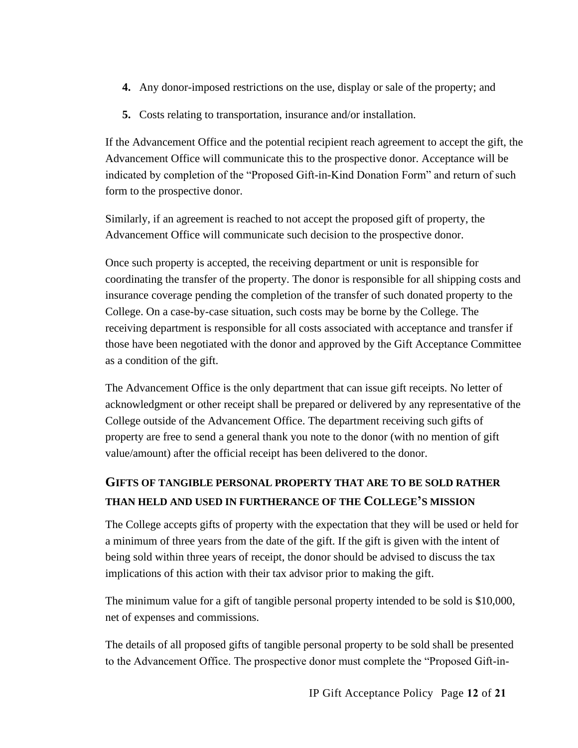- **4.** Any donor-imposed restrictions on the use, display or sale of the property; and
- **5.** Costs relating to transportation, insurance and/or installation.

If the Advancement Office and the potential recipient reach agreement to accept the gift, the Advancement Office will communicate this to the prospective donor. Acceptance will be indicated by completion of the "Proposed Gift-in-Kind Donation Form" and return of such form to the prospective donor.

Similarly, if an agreement is reached to not accept the proposed gift of property, the Advancement Office will communicate such decision to the prospective donor.

Once such property is accepted, the receiving department or unit is responsible for coordinating the transfer of the property. The donor is responsible for all shipping costs and insurance coverage pending the completion of the transfer of such donated property to the College. On a case-by-case situation, such costs may be borne by the College. The receiving department is responsible for all costs associated with acceptance and transfer if those have been negotiated with the donor and approved by the Gift Acceptance Committee as a condition of the gift.

The Advancement Office is the only department that can issue gift receipts. No letter of acknowledgment or other receipt shall be prepared or delivered by any representative of the College outside of the Advancement Office. The department receiving such gifts of property are free to send a general thank you note to the donor (with no mention of gift value/amount) after the official receipt has been delivered to the donor.

# **GIFTS OF TANGIBLE PERSONAL PROPERTY THAT ARE TO BE SOLD RATHER THAN HELD AND USED IN FURTHERANCE OF THE COLLEGE'S MISSION**

The College accepts gifts of property with the expectation that they will be used or held for a minimum of three years from the date of the gift. If the gift is given with the intent of being sold within three years of receipt, the donor should be advised to discuss the tax implications of this action with their tax advisor prior to making the gift.

The minimum value for a gift of tangible personal property intended to be sold is \$10,000, net of expenses and commissions.

The details of all proposed gifts of tangible personal property to be sold shall be presented to the Advancement Office. The prospective donor must complete the "Proposed Gift-in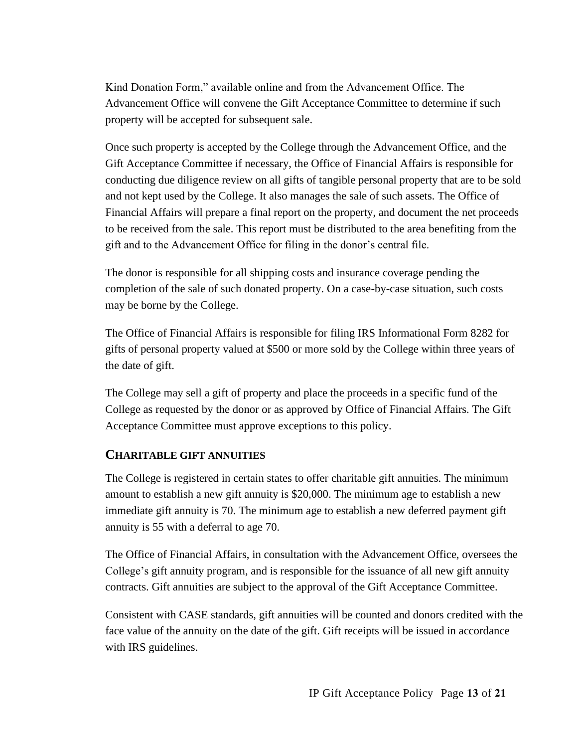Kind Donation Form," available online and from the Advancement Office. The Advancement Office will convene the Gift Acceptance Committee to determine if such property will be accepted for subsequent sale.

Once such property is accepted by the College through the Advancement Office, and the Gift Acceptance Committee if necessary, the Office of Financial Affairs is responsible for conducting due diligence review on all gifts of tangible personal property that are to be sold and not kept used by the College. It also manages the sale of such assets. The Office of Financial Affairs will prepare a final report on the property, and document the net proceeds to be received from the sale. This report must be distributed to the area benefiting from the gift and to the Advancement Office for filing in the donor's central file.

The donor is responsible for all shipping costs and insurance coverage pending the completion of the sale of such donated property. On a case-by-case situation, such costs may be borne by the College.

The Office of Financial Affairs is responsible for filing IRS Informational Form 8282 for gifts of personal property valued at \$500 or more sold by the College within three years of the date of gift.

The College may sell a gift of property and place the proceeds in a specific fund of the College as requested by the donor or as approved by Office of Financial Affairs. The Gift Acceptance Committee must approve exceptions to this policy.

#### **CHARITABLE GIFT ANNUITIES**

The College is registered in certain states to offer charitable gift annuities. The minimum amount to establish a new gift annuity is \$20,000. The minimum age to establish a new immediate gift annuity is 70. The minimum age to establish a new deferred payment gift annuity is 55 with a deferral to age 70.

The Office of Financial Affairs, in consultation with the Advancement Office, oversees the College's gift annuity program, and is responsible for the issuance of all new gift annuity contracts. Gift annuities are subject to the approval of the Gift Acceptance Committee.

Consistent with CASE standards, gift annuities will be counted and donors credited with the face value of the annuity on the date of the gift. Gift receipts will be issued in accordance with IRS guidelines.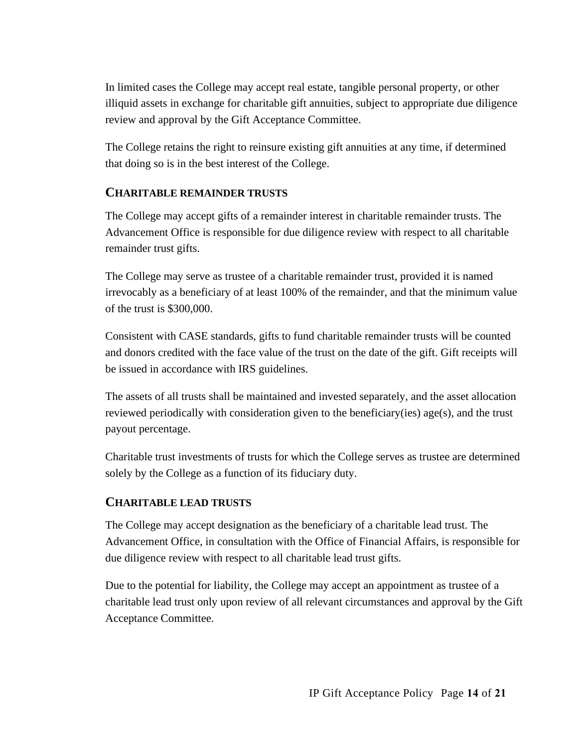In limited cases the College may accept real estate, tangible personal property, or other illiquid assets in exchange for charitable gift annuities, subject to appropriate due diligence review and approval by the Gift Acceptance Committee.

The College retains the right to reinsure existing gift annuities at any time, if determined that doing so is in the best interest of the College.

#### **CHARITABLE REMAINDER TRUSTS**

The College may accept gifts of a remainder interest in charitable remainder trusts. The Advancement Office is responsible for due diligence review with respect to all charitable remainder trust gifts.

The College may serve as trustee of a charitable remainder trust, provided it is named irrevocably as a beneficiary of at least 100% of the remainder, and that the minimum value of the trust is \$300,000.

Consistent with CASE standards, gifts to fund charitable remainder trusts will be counted and donors credited with the face value of the trust on the date of the gift. Gift receipts will be issued in accordance with IRS guidelines.

The assets of all trusts shall be maintained and invested separately, and the asset allocation reviewed periodically with consideration given to the beneficiary(ies)  $\text{age}(s)$ , and the trust payout percentage.

Charitable trust investments of trusts for which the College serves as trustee are determined solely by the College as a function of its fiduciary duty.

#### **CHARITABLE LEAD TRUSTS**

The College may accept designation as the beneficiary of a charitable lead trust. The Advancement Office, in consultation with the Office of Financial Affairs, is responsible for due diligence review with respect to all charitable lead trust gifts.

Due to the potential for liability, the College may accept an appointment as trustee of a charitable lead trust only upon review of all relevant circumstances and approval by the Gift Acceptance Committee.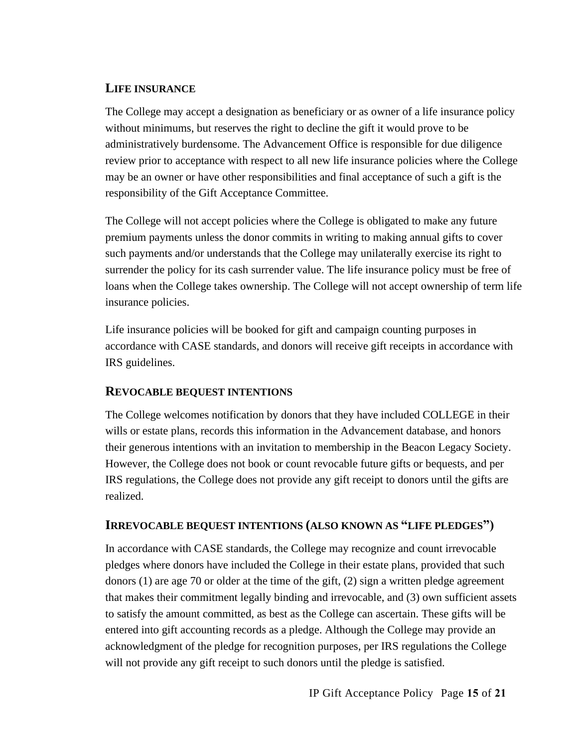#### **LIFE INSURANCE**

The College may accept a designation as beneficiary or as owner of a life insurance policy without minimums, but reserves the right to decline the gift it would prove to be administratively burdensome. The Advancement Office is responsible for due diligence review prior to acceptance with respect to all new life insurance policies where the College may be an owner or have other responsibilities and final acceptance of such a gift is the responsibility of the Gift Acceptance Committee.

The College will not accept policies where the College is obligated to make any future premium payments unless the donor commits in writing to making annual gifts to cover such payments and/or understands that the College may unilaterally exercise its right to surrender the policy for its cash surrender value. The life insurance policy must be free of loans when the College takes ownership. The College will not accept ownership of term life insurance policies.

Life insurance policies will be booked for gift and campaign counting purposes in accordance with CASE standards, and donors will receive gift receipts in accordance with IRS guidelines.

#### **REVOCABLE BEQUEST INTENTIONS**

The College welcomes notification by donors that they have included COLLEGE in their wills or estate plans, records this information in the Advancement database, and honors their generous intentions with an invitation to membership in the Beacon Legacy Society. However, the College does not book or count revocable future gifts or bequests, and per IRS regulations, the College does not provide any gift receipt to donors until the gifts are realized.

#### **IRREVOCABLE BEQUEST INTENTIONS (ALSO KNOWN AS "LIFE PLEDGES")**

In accordance with CASE standards, the College may recognize and count irrevocable pledges where donors have included the College in their estate plans, provided that such donors (1) are age 70 or older at the time of the gift, (2) sign a written pledge agreement that makes their commitment legally binding and irrevocable, and (3) own sufficient assets to satisfy the amount committed, as best as the College can ascertain. These gifts will be entered into gift accounting records as a pledge. Although the College may provide an acknowledgment of the pledge for recognition purposes, per IRS regulations the College will not provide any gift receipt to such donors until the pledge is satisfied.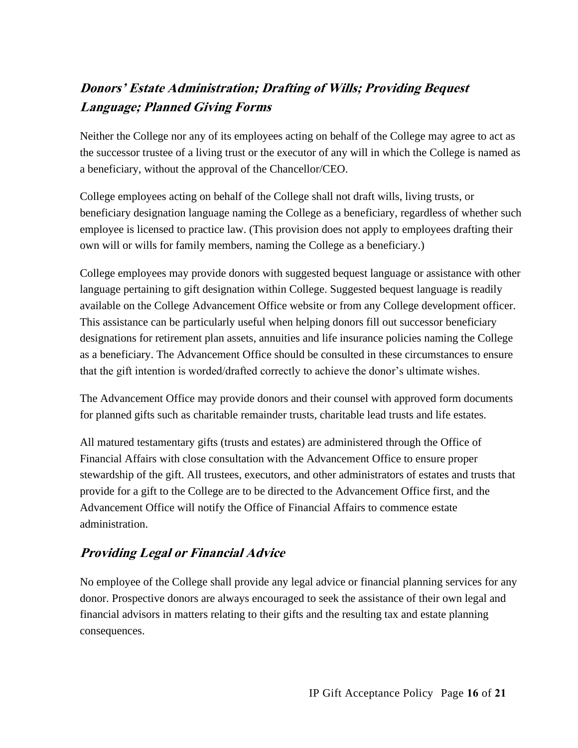# **Donors' Estate Administration; Drafting of Wills; Providing Bequest Language; Planned Giving Forms**

Neither the College nor any of its employees acting on behalf of the College may agree to act as the successor trustee of a living trust or the executor of any will in which the College is named as a beneficiary, without the approval of the Chancellor/CEO.

College employees acting on behalf of the College shall not draft wills, living trusts, or beneficiary designation language naming the College as a beneficiary, regardless of whether such employee is licensed to practice law. (This provision does not apply to employees drafting their own will or wills for family members, naming the College as a beneficiary.)

College employees may provide donors with suggested bequest language or assistance with other language pertaining to gift designation within College. Suggested bequest language is readily available on the College Advancement Office website or from any College development officer. This assistance can be particularly useful when helping donors fill out successor beneficiary designations for retirement plan assets, annuities and life insurance policies naming the College as a beneficiary. The Advancement Office should be consulted in these circumstances to ensure that the gift intention is worded/drafted correctly to achieve the donor's ultimate wishes.

The Advancement Office may provide donors and their counsel with approved form documents for planned gifts such as charitable remainder trusts, charitable lead trusts and life estates.

All matured testamentary gifts (trusts and estates) are administered through the Office of Financial Affairs with close consultation with the Advancement Office to ensure proper stewardship of the gift. All trustees, executors, and other administrators of estates and trusts that provide for a gift to the College are to be directed to the Advancement Office first, and the Advancement Office will notify the Office of Financial Affairs to commence estate administration.

# **Providing Legal or Financial Advice**

No employee of the College shall provide any legal advice or financial planning services for any donor. Prospective donors are always encouraged to seek the assistance of their own legal and financial advisors in matters relating to their gifts and the resulting tax and estate planning consequences.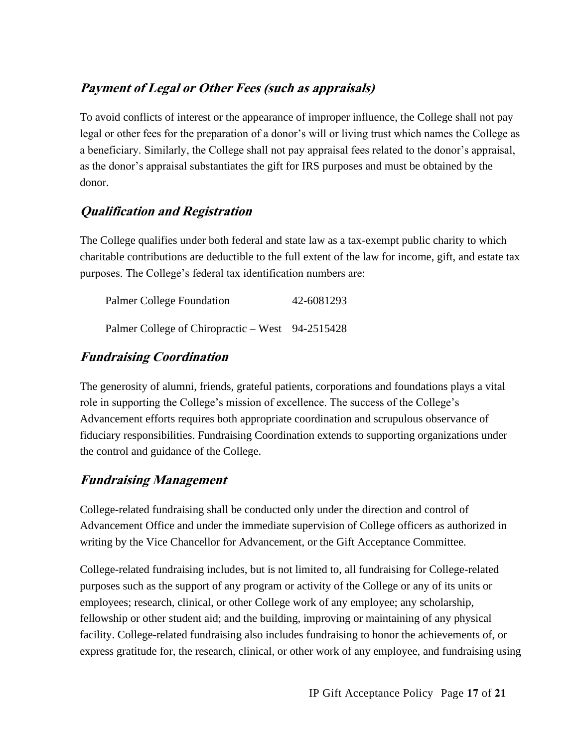# **Payment of Legal or Other Fees (such as appraisals)**

To avoid conflicts of interest or the appearance of improper influence, the College shall not pay legal or other fees for the preparation of a donor's will or living trust which names the College as a beneficiary. Similarly, the College shall not pay appraisal fees related to the donor's appraisal, as the donor's appraisal substantiates the gift for IRS purposes and must be obtained by the donor.

# **Qualification and Registration**

The College qualifies under both federal and state law as a tax-exempt public charity to which charitable contributions are deductible to the full extent of the law for income, gift, and estate tax purposes. The College's federal tax identification numbers are:

| Palmer College Foundation                        | 42-6081293 |
|--------------------------------------------------|------------|
| Palmer College of Chiropractic – West 94-2515428 |            |

## **Fundraising Coordination**

The generosity of alumni, friends, grateful patients, corporations and foundations plays a vital role in supporting the College's mission of excellence. The success of the College's Advancement efforts requires both appropriate coordination and scrupulous observance of fiduciary responsibilities. Fundraising Coordination extends to supporting organizations under the control and guidance of the College.

## **Fundraising Management**

College-related fundraising shall be conducted only under the direction and control of Advancement Office and under the immediate supervision of College officers as authorized in writing by the Vice Chancellor for Advancement, or the Gift Acceptance Committee.

College-related fundraising includes, but is not limited to, all fundraising for College-related purposes such as the support of any program or activity of the College or any of its units or employees; research, clinical, or other College work of any employee; any scholarship, fellowship or other student aid; and the building, improving or maintaining of any physical facility. College-related fundraising also includes fundraising to honor the achievements of, or express gratitude for, the research, clinical, or other work of any employee, and fundraising using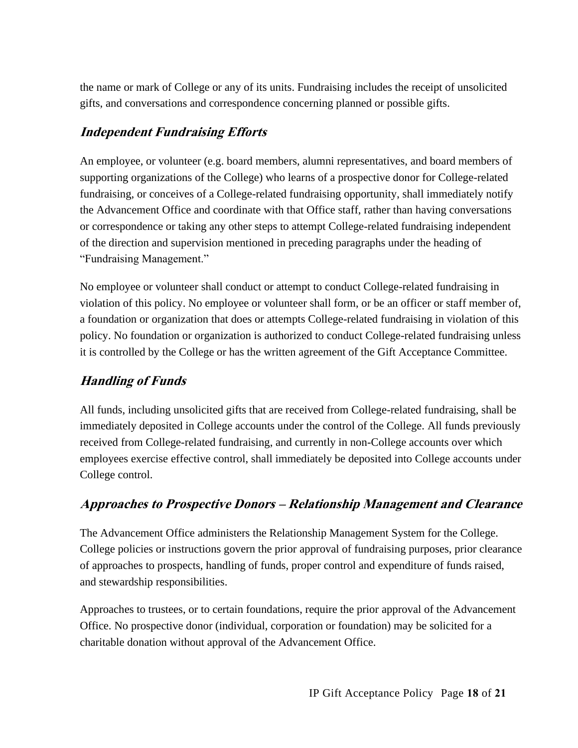the name or mark of College or any of its units. Fundraising includes the receipt of unsolicited gifts, and conversations and correspondence concerning planned or possible gifts.

# **Independent Fundraising Efforts**

An employee, or volunteer (e.g. board members, alumni representatives, and board members of supporting organizations of the College) who learns of a prospective donor for College-related fundraising, or conceives of a College-related fundraising opportunity, shall immediately notify the Advancement Office and coordinate with that Office staff, rather than having conversations or correspondence or taking any other steps to attempt College-related fundraising independent of the direction and supervision mentioned in preceding paragraphs under the heading of "Fundraising Management."

No employee or volunteer shall conduct or attempt to conduct College-related fundraising in violation of this policy. No employee or volunteer shall form, or be an officer or staff member of, a foundation or organization that does or attempts College-related fundraising in violation of this policy. No foundation or organization is authorized to conduct College-related fundraising unless it is controlled by the College or has the written agreement of the Gift Acceptance Committee.

# **Handling of Funds**

All funds, including unsolicited gifts that are received from College-related fundraising, shall be immediately deposited in College accounts under the control of the College. All funds previously received from College-related fundraising, and currently in non-College accounts over which employees exercise effective control, shall immediately be deposited into College accounts under College control.

## **Approaches to Prospective Donors – Relationship Management and Clearance**

The Advancement Office administers the Relationship Management System for the College. College policies or instructions govern the prior approval of fundraising purposes, prior clearance of approaches to prospects, handling of funds, proper control and expenditure of funds raised, and stewardship responsibilities.

Approaches to trustees, or to certain foundations, require the prior approval of the Advancement Office. No prospective donor (individual, corporation or foundation) may be solicited for a charitable donation without approval of the Advancement Office.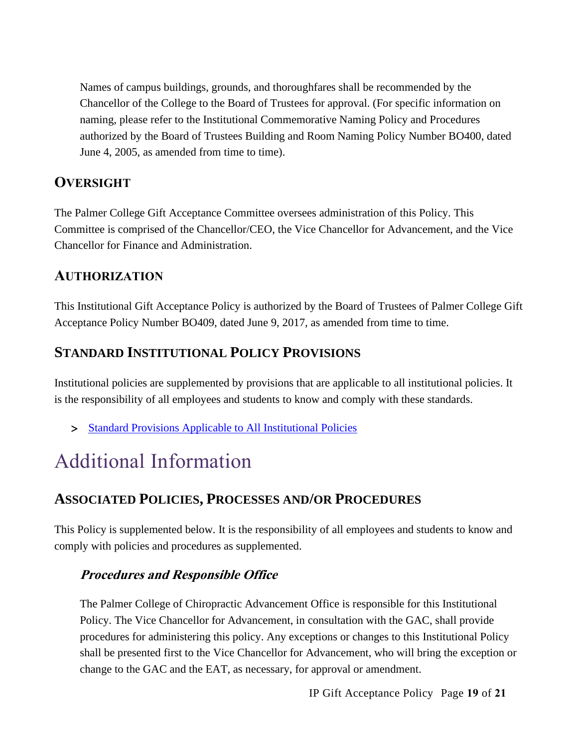Names of campus buildings, grounds, and thoroughfares shall be recommended by the Chancellor of the College to the Board of Trustees for approval. (For specific information on naming, please refer to the Institutional Commemorative Naming Policy and Procedures authorized by the Board of Trustees Building and Room Naming Policy Number BO400, dated June 4, 2005, as amended from time to time).

# **OVERSIGHT**

The Palmer College Gift Acceptance Committee oversees administration of this Policy. This Committee is comprised of the Chancellor/CEO, the Vice Chancellor for Advancement, and the Vice Chancellor for Finance and Administration.

# **AUTHORIZATION**

This Institutional Gift Acceptance Policy is authorized by the Board of Trustees of Palmer College Gift Acceptance Policy Number BO409, dated June 9, 2017, as amended from time to time.

# **STANDARD INSTITUTIONAL POLICY PROVISIONS**

Institutional policies are supplemented by provisions that are applicable to all institutional policies. It is the responsibility of all employees and students to know and comply with these standards.

> [Standard Provisions Applicable to All Institutional Policies](http://www.palmer.edu/uploadedFiles/Pages/Students/Resources_and_Offices/Handbook_and_Policies/_pdf/Standard-Provisions-Applicable-to-All-Institutional-Policies.pdf)

# Additional Information

# **ASSOCIATED POLICIES, PROCESSES AND/OR PROCEDURES**

This Policy is supplemented below. It is the responsibility of all employees and students to know and comply with policies and procedures as supplemented.

## **Procedures and Responsible Office**

The Palmer College of Chiropractic Advancement Office is responsible for this Institutional Policy. The Vice Chancellor for Advancement, in consultation with the GAC, shall provide procedures for administering this policy. Any exceptions or changes to this Institutional Policy shall be presented first to the Vice Chancellor for Advancement, who will bring the exception or change to the GAC and the EAT, as necessary, for approval or amendment.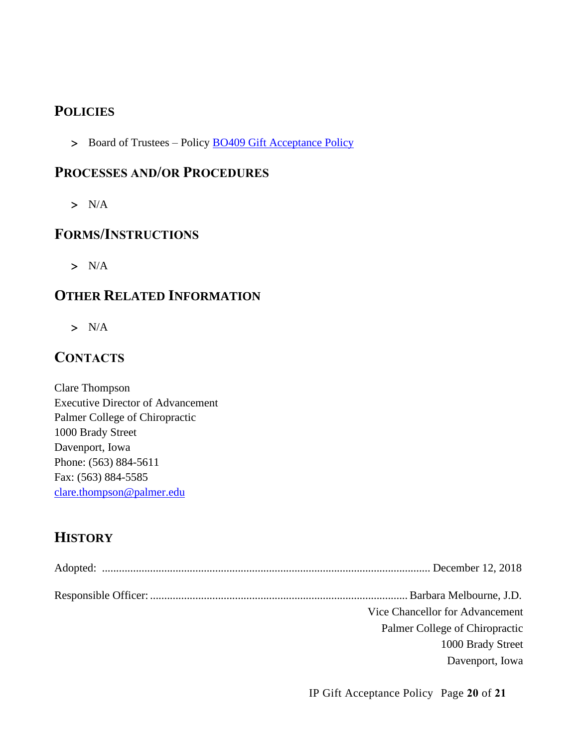# **POLICIES**

> Board of Trustees – Policy **BO409 Gift Acceptance Policy** 

### **PROCESSES AND/OR PROCEDURES**

 $> N/A$ 

### **FORMS/INSTRUCTIONS**

 $> N/A$ 

# **OTHER RELATED INFORMATION**

 $> N/A$ 

# **CONTACTS**

Clare Thompson Executive Director of Advancement Palmer College of Chiropractic 1000 Brady Street Davenport, Iowa Phone: (563) 884-5611 Fax: (563) 884-5585 [clare.thompson@palmer.edu](mailto:clare.thompson@palmer.edu)

# **HISTORY**

| Vice Chancellor for Advancement |
|---------------------------------|
| Palmer College of Chiropractic  |
| 1000 Brady Street               |
| Davenport, Iowa                 |
|                                 |